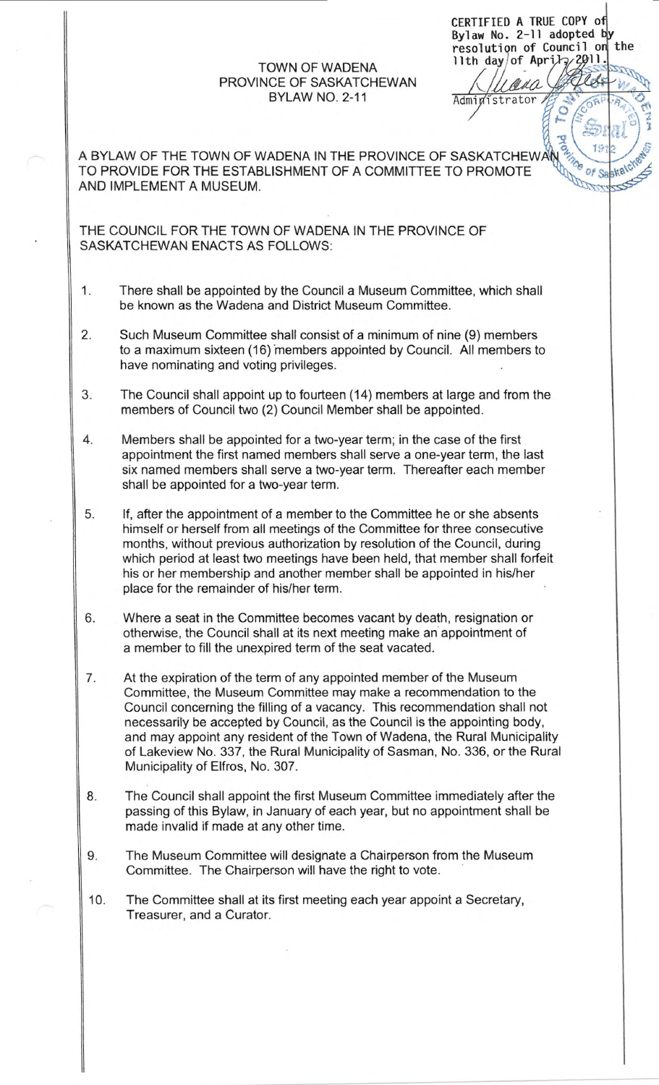## TOWN OF WADENA PROVINCE OF SASKATCHEWAN BYLAW NO. 2-11

CERTIFIED A TRUE COPY of Bylaw No. 2-11 adopted by resolution of Council on the llth day of April,  $2911$ .

O

Ŕ

ana

Administrator

A BYLAW OF THE TOWN OF WADENA IN THE PROVINCE OF SASKATCHEWAY TO PROVIDE FOR THE ESTABLISHMENT OF A COMMITTEE TO PROMOTE AND IMPLEMENT A MUSEUM.

THE COUNCIL FOR THE TOWN OF WADENA IN THE PROVINCE OF SASKATCHEWAN ENACTS AS FOLLOWS:

- 1. There shall be appointed by the Council a Museum Committee, which shall be known as the Wadena and District Museum Committee.
- 2. Such Museum Committee shall consist of a minimum of nine (9) members to a maximum sixteen (16) members appointed by Council. All members to have nominating and voting privileges.
- 3. The Council shall appoint up to fourteen (14) members at large and from the members of Council two (2) Council Member shall be appointed.
- 4. Members shall be appointed for a two-year term; in the case of the first appointment the first named members shall serve a one-year term, the last six named members shall serve a two-year term. Thereafter each member shall be appointed for a two-year term.
- 5. If, after the appointment of a member to the Committee he or she absents himself or herself from all meetings of the Committee for three consecutive months, without previous authorization by resolution of the Council, during which period at least two meetings have been held, that member shall forfeit his or her membership and another member shall be appointed in his/her place for the remainder of his/her term.
- 6. Where a seat in the Committee becomes vacant by death, resignation or otherwise, the Council shall at its next meeting make an· appointment of a member to fill the unexpired term of the seat vacated.
- 7. At the expiration of the term of any appointed member of the Museum Committee, the Museum Committee may make a recommendation to the Council concerning the filling of a vacancy. This recommendation shall not necessarily be accepted by Council, as the Council is the appointing body, and may appoint any resident of the Town of Wadena, the Rural Municipality of Lakeview No. 337, the Rural Municipality of Sasman, No. 336, or the Rural Municipality of Elfros, No. 307.
- 8. The Council shall appoint the first Museum Committee immediately after the passing of this Bylaw, in January of each year, but no appointment shall be made invalid if made at any other time.
- 9. The Museum Committee will designate a Chairperson from the Museum Committee. The Chairperson will have the right to vote.
- 10. The Committee shall at its first meeting each year appoint a Secretary, Treasurer, and a Curator.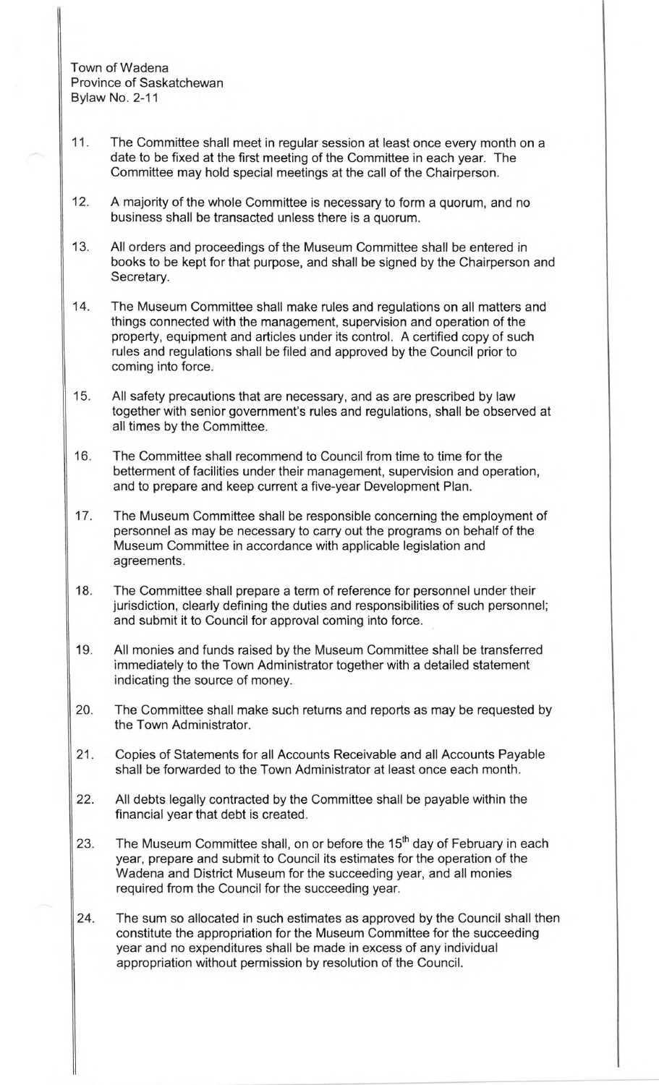Town of Wadena Province of Saskatchewan Bylaw No. 2-11

- 11. The Committee shall meet in regular session at least once every month on a date to be fixed at the first meeting of the Committee in each year. The Committee may hold special meetings at the call of the Chairperson.
- 12. A majority of the whole Committee is necessary to form a quorum, and no business shall be transacted unless there is a quorum.
- 13. All orders and proceedings of the Museum Committee shall be entered in books to be kept for that purpose, and shall be signed by the Chairperson and Secretary.
- 14. The Museum Committee shall make rules and regulations on all matters and things connected with the management, supervision and operation of the property, equipment and articles under its control. A certified copy of such rules and regulations shall be filed and approved by the Council prior to coming into force.
- 15. All safety precautions that are necessary, and as are prescribed by law together with senior government's rules and regulations, shall be observed at all times by the Committee.
- 16. The Committee shall recommend to Council from time to time for the betterment of facilities under their management, supervision and operation, and to prepare and keep current a five-year Development Plan.
- 17. The Museum Committee shall be responsible concerning the employment of personnel as may be necessary to carry out the programs on behalf of the Museum Committee in accordance with applicable legislation and agreements.
- 18. The Committee shall prepare a term of reference for personnel under their jurisdiction, clearly defining the duties and responsibilities of such personnel; and submit it to Council for approval coming into force.
- 19. All monies and funds raised by the Museum Committee shall be transferred immediately to the Town Administrator together with a detailed statement indicating the source of money.
- 20. The Committee shall make such returns and reports as may be requested by the Town Administrator.
- 21. Copies of Statements for all Accounts Receivable and all Accounts Payable shall be forwarded to the Town Administrator at least once each month.
- 22. All debts legally contracted by the Committee shall be payable within the financial year that debt is created.
- 23. The Museum Committee shall, on or before the 15<sup>th</sup> day of February in each year, prepare and submit to Council its estimates for the operation of the Wadena and District Museum for the succeeding year, and all monies required from the Council for the succeeding year.
- 24. The sum so allocated in such estimates as approved by the Council shall then constitute the appropriation for the Museum Committee for the succeeding year and no expenditures shall be made in excess of any individual appropriation without permission by resolution of the Council.